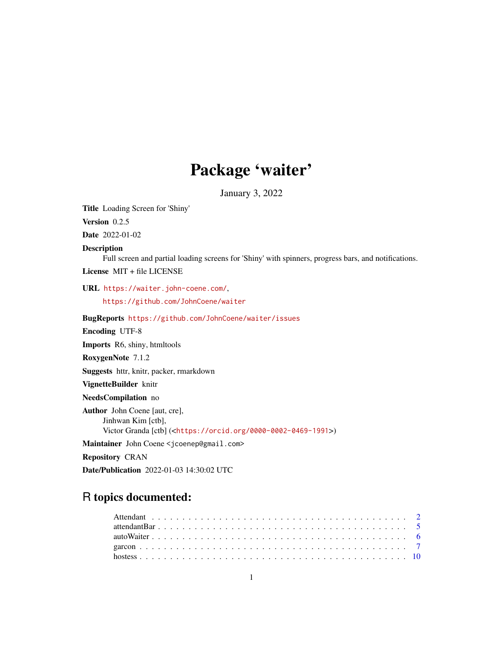# Package 'waiter'

January 3, 2022

<span id="page-0-0"></span>Title Loading Screen for 'Shiny' Version 0.2.5 Date 2022-01-02 Description Full screen and partial loading screens for 'Shiny' with spinners, progress bars, and notifications. License MIT + file LICENSE URL <https://waiter.john-coene.com/>, <https://github.com/JohnCoene/waiter> BugReports <https://github.com/JohnCoene/waiter/issues> Encoding UTF-8 Imports R6, shiny, htmltools RoxygenNote 7.1.2 Suggests httr, knitr, packer, rmarkdown VignetteBuilder knitr NeedsCompilation no Author John Coene [aut, cre], Jinhwan Kim [ctb], Victor Granda [ctb] (<<https://orcid.org/0000-0002-0469-1991>>) Maintainer John Coene <jcoenep@gmail.com> Repository CRAN

Date/Publication 2022-01-03 14:30:02 UTC

# R topics documented: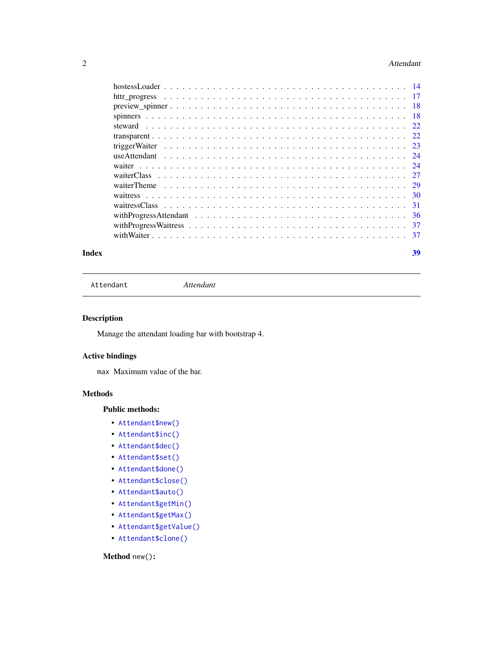#### <span id="page-1-0"></span>2 Attendant

| Index | 39 |
|-------|----|

Attendant *Attendant*

# Description

Manage the attendant loading bar with bootstrap 4.

# Active bindings

max Maximum value of the bar.

# Methods

# Public methods:

- [Attendant\\$new\(\)](#page-1-1)
- [Attendant\\$inc\(\)](#page-2-0)
- [Attendant\\$dec\(\)](#page-2-1)
- [Attendant\\$set\(\)](#page-2-2)
- [Attendant\\$done\(\)](#page-2-3)
- [Attendant\\$close\(\)](#page-3-0)
- [Attendant\\$auto\(\)](#page-3-1)
- [Attendant\\$getMin\(\)](#page-3-2)
- [Attendant\\$getMax\(\)](#page-3-3)
- [Attendant\\$getValue\(\)](#page-3-4)
- [Attendant\\$clone\(\)](#page-3-5)

# <span id="page-1-1"></span>Method new():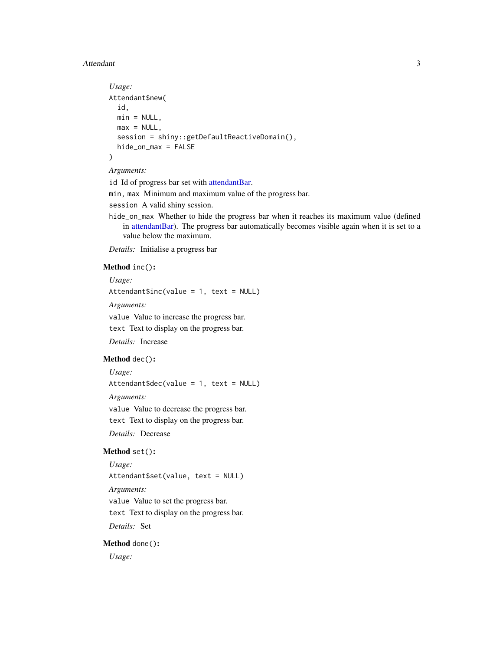#### <span id="page-2-4"></span>Attendant 3

```
Usage:
Attendant$new(
  id,
 min = NULL,max = NULL,session = shiny::getDefaultReactiveDomain(),
 hide_on_max = FALSE
\lambda
```
#### *Arguments:*

id Id of progress bar set with [attendantBar.](#page-4-1)

min, max Minimum and maximum value of the progress bar.

session A valid shiny session.

hide\_on\_max Whether to hide the progress bar when it reaches its maximum value (defined in [attendantBar\)](#page-4-1). The progress bar automatically becomes visible again when it is set to a value below the maximum.

*Details:* Initialise a progress bar

# <span id="page-2-0"></span>Method inc():

*Usage:*

Attendant\$inc(value = 1, text = NULL)

*Arguments:*

value Value to increase the progress bar.

text Text to display on the progress bar.

*Details:* Increase

# <span id="page-2-1"></span>Method dec():

*Usage:*

 $Attention4 = 1$ , text = NULL)

*Arguments:*

value Value to decrease the progress bar. text Text to display on the progress bar.

*Details:* Decrease

#### <span id="page-2-2"></span>Method set():

*Usage:* Attendant\$set(value, text = NULL) *Arguments:* value Value to set the progress bar. text Text to display on the progress bar. *Details:* Set

<span id="page-2-3"></span>Method done():

*Usage:*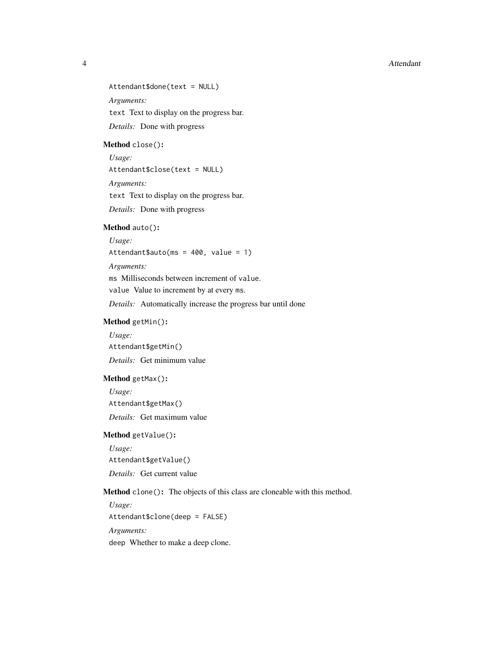4 Attendant

Attendant\$done(text = NULL)

*Arguments:*

text Text to display on the progress bar.

*Details:* Done with progress

<span id="page-3-0"></span>Method close():

*Usage:*

Attendant\$close(text = NULL)

*Arguments:*

text Text to display on the progress bar.

*Details:* Done with progress

#### <span id="page-3-1"></span>Method auto():

*Usage:* Attendant\$auto(ms = 400, value = 1)

*Arguments:*

ms Milliseconds between increment of value.

value Value to increment by at every ms.

*Details:* Automatically increase the progress bar until done

# <span id="page-3-2"></span>Method getMin():

*Usage:* Attendant\$getMin() *Details:* Get minimum value

#### <span id="page-3-3"></span>Method getMax():

*Usage:* Attendant\$getMax() *Details:* Get maximum value

#### <span id="page-3-4"></span>Method getValue():

*Usage:* Attendant\$getValue() *Details:* Get current value

<span id="page-3-5"></span>Method clone(): The objects of this class are cloneable with this method.

*Usage:* Attendant\$clone(deep = FALSE)

*Arguments:*

deep Whether to make a deep clone.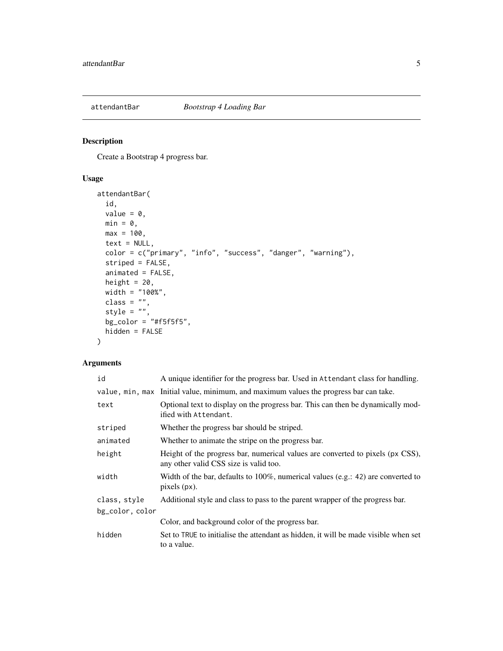<span id="page-4-1"></span><span id="page-4-0"></span>

# Description

Create a Bootstrap 4 progress bar.

# Usage

```
attendantBar(
  id,
 value = 0,
 min = 0,max = 100,
  text = NULL,color = c("primary", "info", "success", "danger", "warning"),
 striped = FALSE,
 animated = FALSE,height = 20,
 width = "100%",
  class = "",style = "",
  bg_color = "#f5f5f5",
 hidden = FALSE
\mathcal{L}
```
# Arguments

| id              | A unique identifier for the progress bar. Used in Attendant class for handling.                                          |
|-----------------|--------------------------------------------------------------------------------------------------------------------------|
|                 | value, min, max Initial value, minimum, and maximum values the progress bar can take.                                    |
| text            | Optional text to display on the progress bar. This can then be dynamically mod-<br>ified with Attendant.                 |
| striped         | Whether the progress bar should be striped.                                                                              |
| animated        | Whether to animate the stripe on the progress bar.                                                                       |
| height          | Height of the progress bar, numerical values are converted to pixels (px CSS),<br>any other valid CSS size is valid too. |
| width           | Width of the bar, defaults to $100\%$ , numerical values (e.g.: 42) are converted to<br>$pixels (px)$ .                  |
| class, style    | Additional style and class to pass to the parent wrapper of the progress bar.                                            |
| bg_color, color |                                                                                                                          |
|                 | Color, and background color of the progress bar.                                                                         |
| hidden          | Set to TRUE to initialise the attendant as hidden, it will be made visible when set<br>to a value.                       |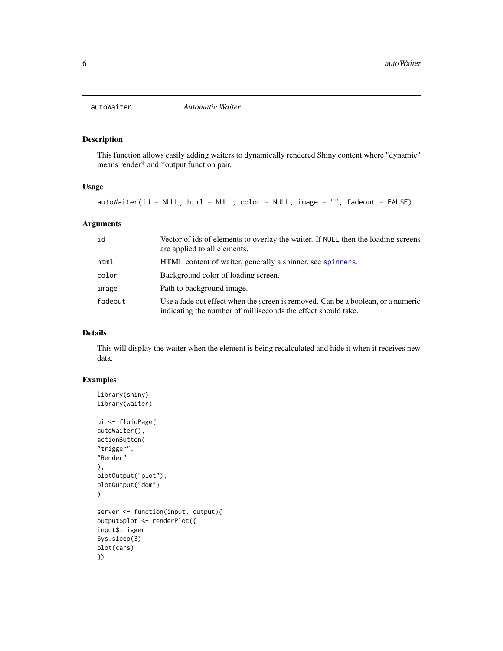<span id="page-5-0"></span>

# Description

This function allows easily adding waiters to dynamically rendered Shiny content where "dynamic" means render\* and \*output function pair.

#### Usage

autoWaiter(id = NULL, html = NULL, color = NULL, image = "", fadeout = FALSE)

#### Arguments

| id      | Vector of ids of elements to overlay the waiter. If NULL then the loading screens<br>are applied to all elements.                                 |
|---------|---------------------------------------------------------------------------------------------------------------------------------------------------|
| html    | HTML content of waiter, generally a spinner, see spinners.                                                                                        |
| color   | Background color of loading screen.                                                                                                               |
| image   | Path to background image.                                                                                                                         |
| fadeout | Use a fade out effect when the screen is removed. Can be a boolean, or a numeric<br>indicating the number of milliseconds the effect should take. |

# Details

This will display the waiter when the element is being recalculated and hide it when it receives new data.

#### Examples

```
library(shiny)
library(waiter)
ui <- fluidPage(
autoWaiter(),
actionButton(
"trigger",
"Render"
),
plotOutput("plot"),
plotOutput("dom")
)
server <- function(input, output){
output$plot <- renderPlot({
input$trigger
Sys.sleep(3)
plot(cars)
})
```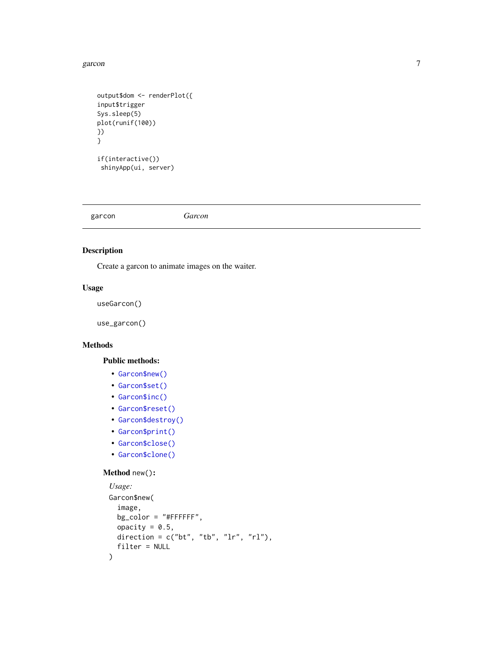#### <span id="page-6-0"></span>garcon and the contract of the contract of the contract of the contract of the contract of the contract of the contract of the contract of the contract of the contract of the contract of the contract of the contract of the

```
output$dom <- renderPlot({
input$trigger
Sys.sleep(5)
plot(runif(100))
})
}
if(interactive())
 shinyApp(ui, server)
```
garcon *Garcon*

# Description

Create a garcon to animate images on the waiter.

#### Usage

useGarcon()

use\_garcon()

# Methods

#### Public methods:

- [Garcon\\$new\(\)](#page-1-1)
- [Garcon\\$set\(\)](#page-2-2)
- [Garcon\\$inc\(\)](#page-2-0)
- [Garcon\\$reset\(\)](#page-7-0)
- [Garcon\\$destroy\(\)](#page-7-1)
- [Garcon\\$print\(\)](#page-8-0)
- [Garcon\\$close\(\)](#page-3-0)
- [Garcon\\$clone\(\)](#page-3-5)

#### Method new():

```
Usage:
Garcon$new(
 image,
 bg_color = "#FFFFFF",
 opacity = 0.5,
 direction = c("bt", "tb", "lr", "rl"),filter = NULL
)
```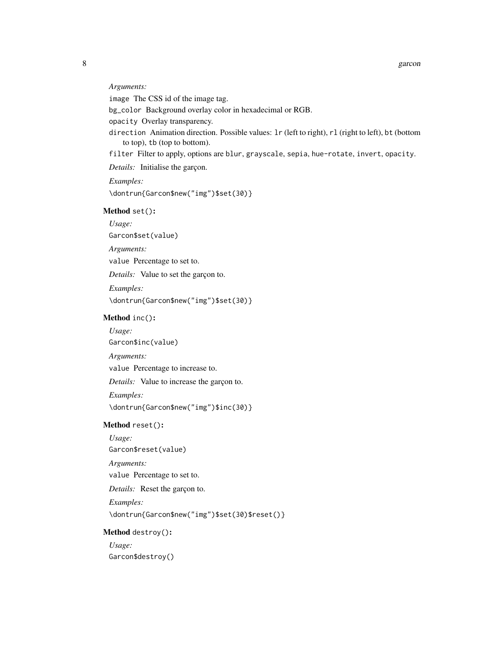#### *Arguments:*

image The CSS id of the image tag.

bg\_color Background overlay color in hexadecimal or RGB.

opacity Overlay transparency.

- direction Animation direction. Possible values: 1r (left to right), r1 (right to left), bt (bottom to top), tb (top to bottom).
- filter Filter to apply, options are blur, grayscale, sepia, hue-rotate, invert, opacity.

*Details:* Initialise the garçon.

*Examples:*

\dontrun{Garcon\$new("img")\$set(30)}

#### Method set():

*Usage:*

Garcon\$set(value)

*Arguments:*

value Percentage to set to.

*Details:* Value to set the garçon to.

*Examples:*

\dontrun{Garcon\$new("img")\$set(30)}

#### Method inc():

*Usage:*

Garcon\$inc(value)

*Arguments:*

value Percentage to increase to.

*Details:* Value to increase the garçon to.

*Examples:*

\dontrun{Garcon\$new("img")\$inc(30)}

#### <span id="page-7-0"></span>Method reset():

*Usage:*

Garcon\$reset(value)

*Arguments:*

value Percentage to set to.

*Details:* Reset the garçon to.

*Examples:*

\dontrun{Garcon\$new("img")\$set(30)\$reset()}

#### <span id="page-7-1"></span>Method destroy():

*Usage:* Garcon\$destroy()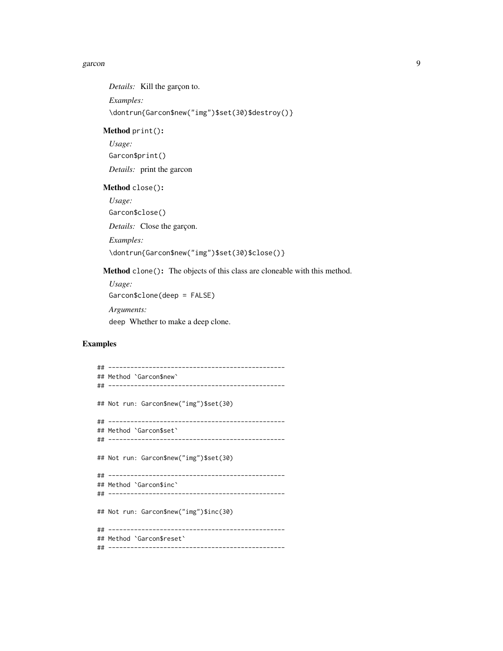#### garcon **9** and 2012 **19 and 2012 19 and 2012 19 and 2012 19 and 2013 19 and 2013 19 and 2013 19 and 2013 19 and 2013 19 and 2013 19 and 2013 19 and 2013 19 and 2013 19 and 2013 19 and 2013 19 an**

*Details:* Kill the garçon to. *Examples:* \dontrun{Garcon\$new("img")\$set(30)\$destroy()}

# <span id="page-8-0"></span>Method print():

*Usage:* Garcon\$print() *Details:* print the garcon

#### Method close():

*Usage:* Garcon\$close() *Details:* Close the garçon. *Examples:* \dontrun{Garcon\$new("img")\$set(30)\$close()}

Method clone(): The objects of this class are cloneable with this method.

*Usage:* Garcon\$clone(deep = FALSE) *Arguments:* deep Whether to make a deep clone.

# Examples

```
## ------------------------------------------------
## Method `Garcon$new`
## ------------------------------------------------
## Not run: Garcon$new("img")$set(30)
## ------------------------------------------------
## Method `Garcon$set`
## ------------------------------------------------
## Not run: Garcon$new("img")$set(30)
## ------------------------------------------------
## Method `Garcon$inc`
## ------------------------------------------------
## Not run: Garcon$new("img")$inc(30)
## ------------------------------------------------
## Method `Garcon$reset`
## ------------------------------------------------
```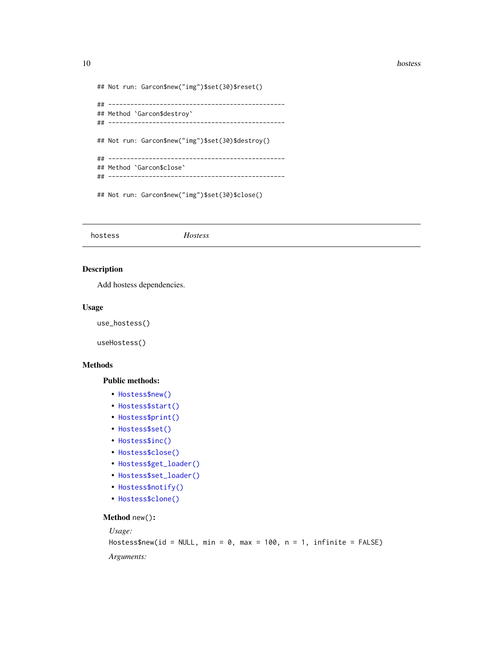#### <span id="page-9-0"></span>10 hostess and the contract of the contract of the contract of the contract of the contract of the contract of the contract of the contract of the contract of the contract of the contract of the contract of the contract of

```
## Not run: Garcon$new("img")$set(30)$reset()
## ------------------------------------------------
## Method `Garcon$destroy`
## ------------------------------------------------
## Not run: Garcon$new("img")$set(30)$destroy()
## ------------------------------------------------
## Method `Garcon$close`
## ------------------------------------------------
## Not run: Garcon$new("img")$set(30)$close()
```
hostess *Hostess*

#### Description

Add hostess dependencies.

#### Usage

use\_hostess()

useHostess()

# Methods

#### Public methods:

- [Hostess\\$new\(\)](#page-1-1)
- [Hostess\\$start\(\)](#page-10-0)
- [Hostess\\$print\(\)](#page-8-0)
- [Hostess\\$set\(\)](#page-2-2)
- [Hostess\\$inc\(\)](#page-2-0)
- [Hostess\\$close\(\)](#page-3-0)
- [Hostess\\$get\\_loader\(\)](#page-11-0)
- [Hostess\\$set\\_loader\(\)](#page-11-1)
- [Hostess\\$notify\(\)](#page-12-0)
- [Hostess\\$clone\(\)](#page-3-5)

#### Method new():

*Usage:*

Hostess\$new(id = NULL, min =  $0$ , max = 100, n = 1, infinite = FALSE) *Arguments:*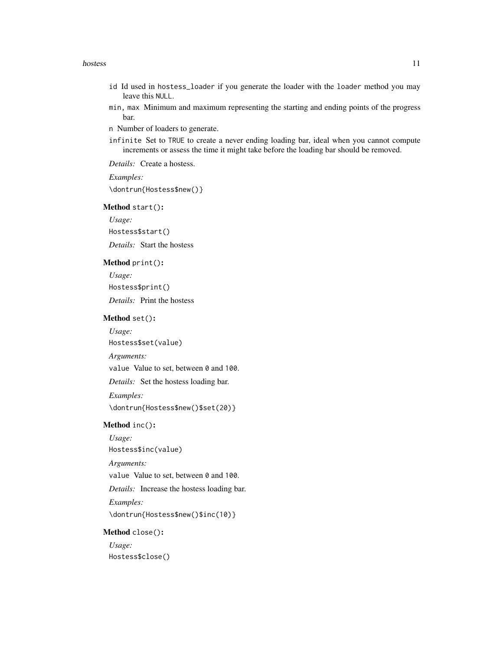#### hostess and the set of the set of the set of the set of the set of the set of the set of the set of the set of the set of the set of the set of the set of the set of the set of the set of the set of the set of the set of t

- id Id used in hostess\_loader if you generate the loader with the loader method you may leave this NULL.
- min, max Minimum and maximum representing the starting and ending points of the progress bar.

n Number of loaders to generate.

infinite Set to TRUE to create a never ending loading bar, ideal when you cannot compute increments or assess the time it might take before the loading bar should be removed.

*Details:* Create a hostess.

*Examples:* \dontrun{Hostess\$new()}

<span id="page-10-0"></span>Method start():

*Usage:* Hostess\$start()

*Details:* Start the hostess

# Method print():

*Usage:* Hostess\$print() *Details:* Print the hostess

#### Method set():

*Usage:*

Hostess\$set(value)

*Arguments:*

value Value to set, between 0 and 100.

*Details:* Set the hostess loading bar.

*Examples:*

\dontrun{Hostess\$new()\$set(20)}

# Method inc():

*Usage:*

Hostess\$inc(value)

*Arguments:*

value Value to set, between 0 and 100.

*Details:* Increase the hostess loading bar.

*Examples:*

\dontrun{Hostess\$new()\$inc(10)}

#### Method close():

*Usage:* Hostess\$close()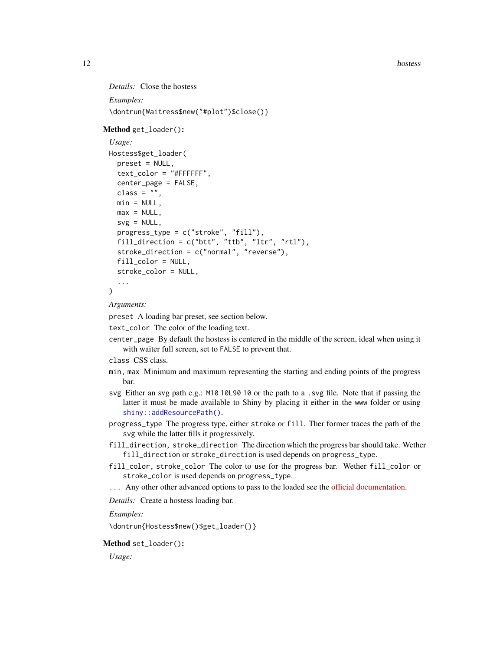<span id="page-11-2"></span>12 hostess and the set of the set of the set of the set of the set of the set of the set of the set of the set of the set of the set of the set of the set of the set of the set of the set of the set of the set of the set o

```
Details: Close the hostess
Examples:
\dontrun{Waitress$new("#plot")$close()}
```
#### <span id="page-11-0"></span>Method get\_loader():

```
Usage:
Hostess$get_loader(
 preset = NULL,
  text_color = "#FFFFFF",
  center_page = FALSE,
  class = ",
 min = NULL,max = NULL,svg = NULL,progress_type = c("stroke", "fill"),
  fill_direction = c("btt", "ttb", "ltr", "rtl"),
  stroke_direction = c("normal", "reverse"),
  fill_color = NULL,
  stroke_color = NULL,
  ...
```

```
)
```
*Arguments:*

preset A loading bar preset, see section below.

text\_color The color of the loading text.

center\_page By default the hostess is centered in the middle of the screen, ideal when using it with waiter full screen, set to FALSE to prevent that.

```
class CSS class.
```
- min, max Minimum and maximum representing the starting and ending points of the progress bar.
- svg Either an svg path e.g.: M10 10L90 10 or the path to a .svg file. Note that if passing the latter it must be made available to Shiny by placing it either in the www folder or using [shiny::addResourcePath\(\)](#page-0-0).
- progress\_type The progress type, either stroke or fill. Ther former traces the path of the svg while the latter fills it progressively.
- fill\_direction, stroke\_direction The direction which the progress bar should take. Wether fill\_direction or stroke\_direction is used depends on progress\_type.
- fill\_color, stroke\_color The color to use for the progress bar. Wether fill\_color or stroke\_color is used depends on progress\_type.
- ... Any other other advanced options to pass to the loaded see the [official documentation.](https://loading.io/progress/)

*Details:* Create a hostess loading bar.

*Examples:*

\dontrun{Hostess\$new()\$get\_loader()}

#### <span id="page-11-1"></span>Method set\_loader():

*Usage:*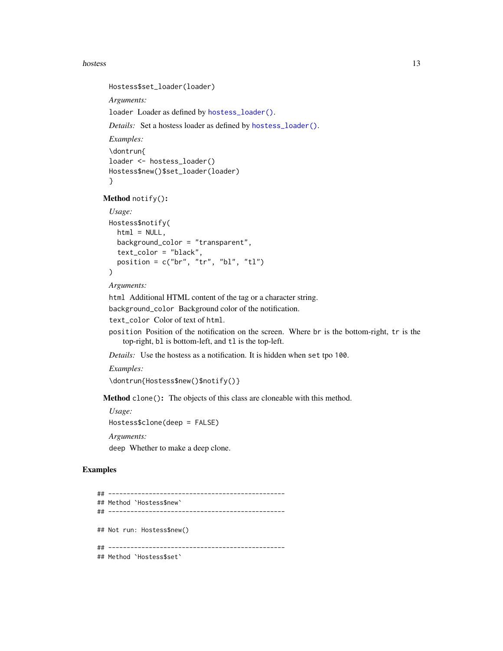#### <span id="page-12-1"></span>hostess and the set of the set of the set of the set of the set of the set of the set of the set of the set of the set of the set of the set of the set of the set of the set of the set of the set of the set of the set of t

```
Hostess$set_loader(loader)
 Arguments:
 loader Loader as defined by hostess_loader().
 Details: Set a hostess loader as defined by hostess_loader().
 Examples:
 \dontrun{
 loader <- hostess_loader()
 Hostess$new()$set_loader(loader)
 }
Method notify():
 Usage:
 Hostess$notify(
   html = NULL,background_color = "transparent",
```

```
text_color = "black",
 position = c("br", "tr", "bl", "tl")\lambda
```

```
Arguments:
```
html Additional HTML content of the tag or a character string.

```
background_color Background color of the notification.
```
text\_color Color of text of html.

position Position of the notification on the screen. Where br is the bottom-right, tr is the top-right, bl is bottom-left, and tl is the top-left.

*Details:* Use the hostess as a notification. It is hidden when set tpo 100.

*Examples:*

```
\dontrun{Hostess$new()$notify()}
```
Method clone(): The objects of this class are cloneable with this method.

*Usage:* Hostess\$clone(deep = FALSE) *Arguments:*

deep Whether to make a deep clone.

#### Examples

```
## ------------------------------------------------
## Method `Hostess$new`
## ------------------------------------------------
## Not run: Hostess$new()
## ------------------------------------------------
## Method `Hostess$set`
```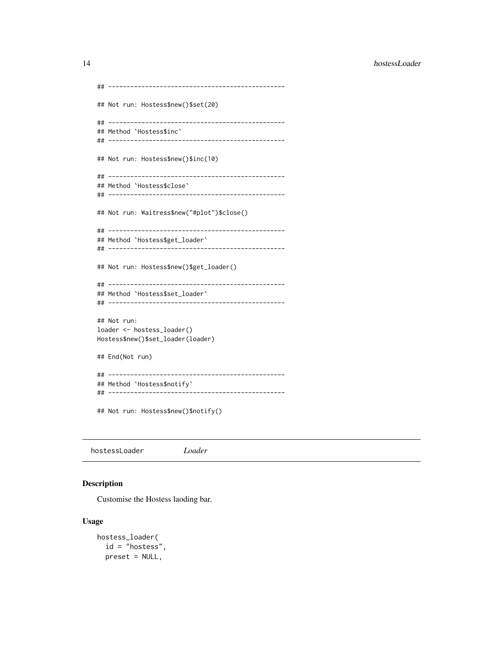<span id="page-13-0"></span>14 hostessLoader

```
## ------------------------------------------------
## Not run: Hostess$new()$set(20)
## ------------------------------------------------
## Method `Hostess$inc`
## ------------------------------------------------
## Not run: Hostess$new()$inc(10)
## ------------------------------------------------
## Method `Hostess$close`
## ------------------------------------------------
## Not run: Waitress$new("#plot")$close()
## ------------------------------------------------
## Method `Hostess$get_loader`
## ------------------------------------------------
## Not run: Hostess$new()$get_loader()
## ------------------------------------------------
## Method `Hostess$set_loader`
## ------------------------------------------------
## Not run:
loader <- hostess_loader()
Hostess$new()$set_loader(loader)
## End(Not run)
## ------------------------------------------------
## Method `Hostess$notify`
## ------------------------------------------------
## Not run: Hostess$new()$notify()
```
hostessLoader *Loader*

#### <span id="page-13-1"></span>Description

Customise the Hostess laoding bar.

#### Usage

```
hostess_loader(
  id = "hostess",
 preset = NULL,
```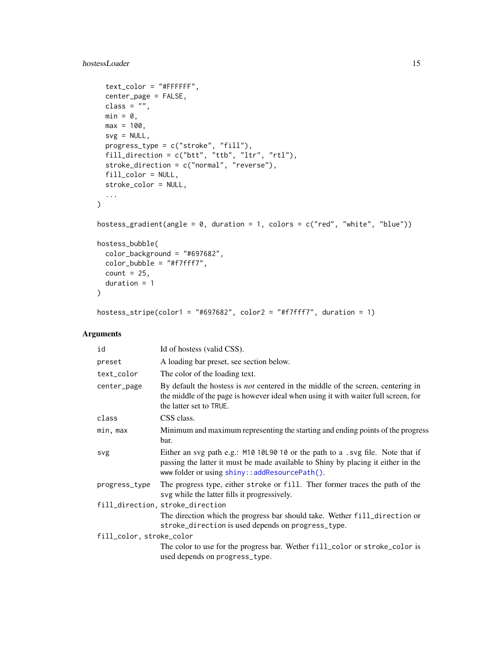# <span id="page-14-0"></span>hostessLoader 15

```
text_color = "#FFFFFF",
 center_page = FALSE,
 class = ",
 min = 0,max = 100,
 svg = NULL,progress_type = c("stroke", "fill"),
 fill_direction = c("btt", "ttb", "ltr", "rtl"),
  stroke_direction = c("normal", "reverse"),
 fill_color = NULL,
 stroke_color = NULL,
  ...
)
hostess_gradient(angle = 0, duration = 1, colors = c("red", "white", "blue"))
hostess_bubble(
 color_background = "#697682",
 color_bubble = "#f7fff7",count = 25,
 duration = 1
\lambda
```
# hostess\_stripe(color1 = "#697682", color2 = "#f7fff7", duration = 1)

# Arguments

| id                       | Id of hostess (valid CSS).                                                                                                                                                                                           |  |  |  |  |  |
|--------------------------|----------------------------------------------------------------------------------------------------------------------------------------------------------------------------------------------------------------------|--|--|--|--|--|
| preset                   | A loading bar preset, see section below.                                                                                                                                                                             |  |  |  |  |  |
| text_color               | The color of the loading text.                                                                                                                                                                                       |  |  |  |  |  |
| center_page              | By default the hostess is <i>not</i> centered in the middle of the screen, centering in<br>the middle of the page is however ideal when using it with waiter full screen, for<br>the latter set to TRUE.             |  |  |  |  |  |
| class                    | CSS class.                                                                                                                                                                                                           |  |  |  |  |  |
| min, max                 | Minimum and maximum representing the starting and ending points of the progress<br>bar.                                                                                                                              |  |  |  |  |  |
| svg                      | Either an svg path e.g.: M10 10L90 10 or the path to a .svg file. Note that if<br>passing the latter it must be made available to Shiny by placing it either in the<br>www folder or using shiny::addResourcePath(). |  |  |  |  |  |
| progress_type            | The progress type, either stroke or fill. Ther former traces the path of the<br>svg while the latter fills it progressively.                                                                                         |  |  |  |  |  |
|                          | fill_direction, stroke_direction                                                                                                                                                                                     |  |  |  |  |  |
|                          | The direction which the progress bar should take. Wether fill_direction or<br>stroke_direction is used depends on progress_type.                                                                                     |  |  |  |  |  |
| fill_color, stroke_color |                                                                                                                                                                                                                      |  |  |  |  |  |
|                          | The color to use for the progress bar. Wether fill_color or stroke_color is<br>used depends on progress_type.                                                                                                        |  |  |  |  |  |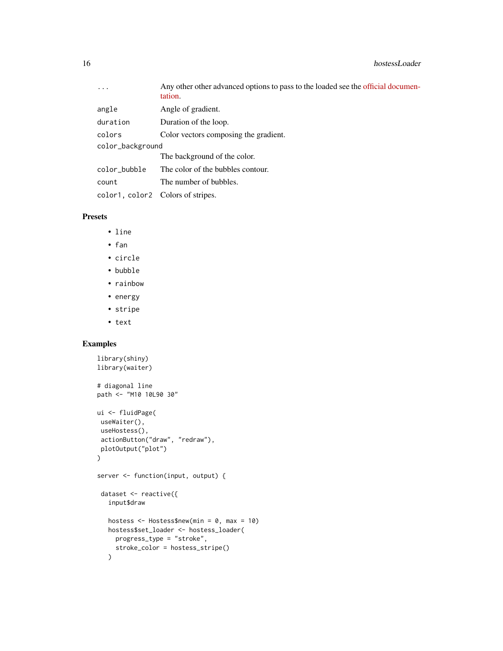| $\ddots$ .                        | Any other other advanced options to pass to the loaded see the official documen-<br>tation. |
|-----------------------------------|---------------------------------------------------------------------------------------------|
| angle                             | Angle of gradient.                                                                          |
| duration                          | Duration of the loop.                                                                       |
| colors                            | Color vectors composing the gradient.                                                       |
| color_background                  |                                                                                             |
|                                   | The background of the color.                                                                |
| color_bubble                      | The color of the bubbles contour.                                                           |
| count                             | The number of bubbles.                                                                      |
| color1, color2 Colors of stripes. |                                                                                             |

# Presets

- line
- fan
- circle
- bubble
- rainbow
- energy
- stripe
- text

# Examples

```
library(shiny)
library(waiter)
# diagonal line
path <- "M10 10L90 30"
ui <- fluidPage(
useWaiter(),
useHostess(),
 actionButton("draw", "redraw"),
plotOutput("plot")
)
server <- function(input, output) {
 dataset <- reactive({
  input$draw
  hostess <- Hostess$new(min = 0, max = 10)
  hostess$set_loader <- hostess_loader(
    progress_type = "stroke",
    stroke_color = hostess_stripe()
  \lambda
```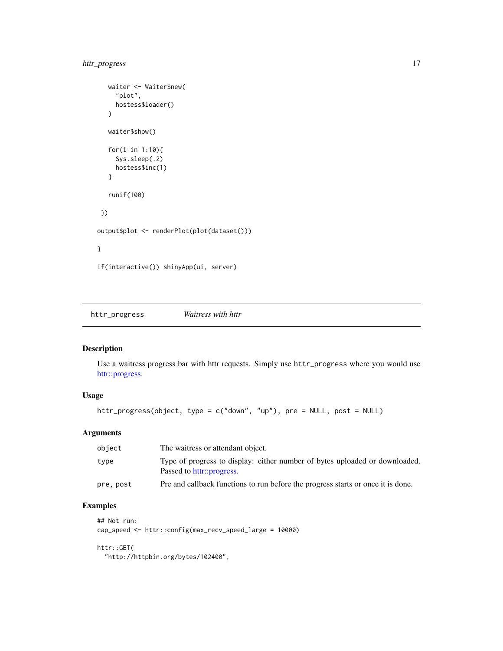# <span id="page-16-0"></span>httr\_progress 17

```
waiter <- Waiter$new(
     "plot",
     hostess$loader()
   \lambdawaiter$show()
   for(i in 1:10){
     Sys.sleep(.2)
     hostess$inc(1)
   }
  runif(100)
 })
output$plot <- renderPlot(plot(dataset()))
}
if(interactive()) shinyApp(ui, server)
```
httr\_progress *Waitress with httr*

# Description

Use a waitress progress bar with httr requests. Simply use httr\_progress where you would use [httr::progress.](#page-0-0)

# Usage

```
httr_progress(object, type = c("down", "up"), pre = NULL, post = NULL)
```
# Arguments

| object    | The waitress or attendant object.                                                                        |
|-----------|----------------------------------------------------------------------------------------------------------|
| type      | Type of progress to display: either number of bytes uploaded or downloaded.<br>Passed to httr::progress. |
| pre, post | Pre and callback functions to run before the progress starts or once it is done.                         |

# Examples

```
## Not run:
cap_speed <- httr::config(max_recv_speed_large = 10000)
```
# httr::GET(

"http://httpbin.org/bytes/102400",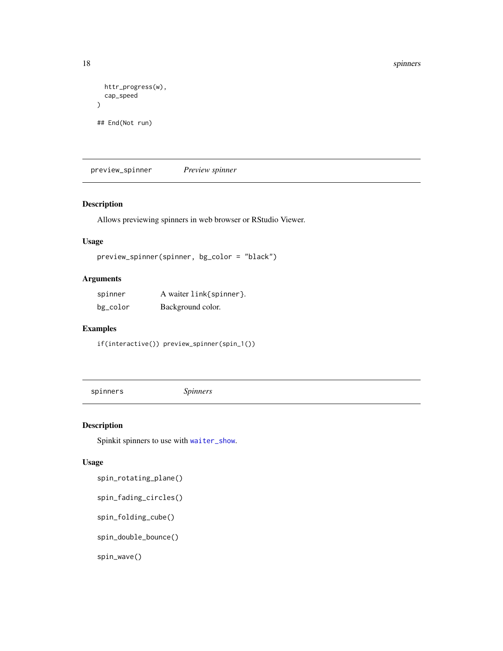```
httr_progress(w),
  cap_speed
\mathcal{L}## End(Not run)
```
preview\_spinner *Preview spinner*

#### Description

Allows previewing spinners in web browser or RStudio Viewer.

### Usage

```
preview_spinner(spinner, bg_color = "black")
```
# Arguments

| spinner  | A waiter link{spinner}. |
|----------|-------------------------|
| bg_color | Background color.       |

# Examples

if(interactive()) preview\_spinner(spin\_1())

<span id="page-17-1"></span>spinners *Spinners*

Description

Spinkit spinners to use with [waiter\\_show](#page-23-1).

#### Usage

spin\_rotating\_plane()

spin\_fading\_circles()

spin\_folding\_cube()

spin\_double\_bounce()

spin\_wave()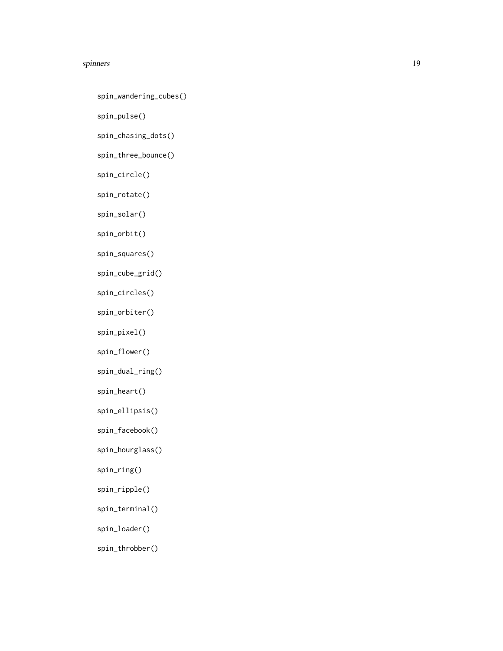#### spinners and the spinners of the spinners of the spinners of the spinners of the spinners of the spinners of the spinners of the spinners of the spinners of the spinners of the spinners of the spinners of the spinners of t

spin\_wandering\_cubes()

spin\_pulse()

spin\_chasing\_dots()

spin\_three\_bounce()

spin\_circle()

spin\_rotate()

spin\_solar()

spin\_orbit()

spin\_squares()

spin\_cube\_grid()

spin\_circles()

spin\_orbiter()

spin\_pixel()

spin\_flower()

spin\_dual\_ring()

spin\_heart()

spin\_ellipsis()

spin\_facebook()

spin\_hourglass()

spin\_ring()

spin\_ripple()

spin\_terminal()

spin\_loader()

spin\_throbber()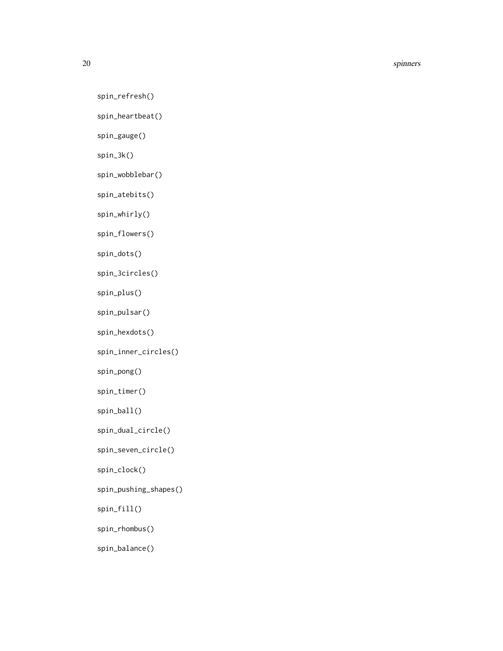20 spinners and the set of the set of the set of the set of the set of the set of the set of the set of the set of the set of the set of the set of the set of the set of the set of the set of the set of the set of the set

spin\_refresh()

spin\_heartbeat()

spin\_gauge()

spin\_3k()

spin\_wobblebar()

spin\_atebits()

spin\_whirly()

spin\_flowers()

spin\_dots()

spin\_3circles()

spin\_plus()

spin\_pulsar()

spin\_hexdots()

spin\_inner\_circles()

spin\_pong()

spin\_timer()

spin\_ball()

spin\_dual\_circle()

spin\_seven\_circle()

spin\_clock()

spin\_pushing\_shapes()

spin\_fill()

spin\_rhombus()

spin\_balance()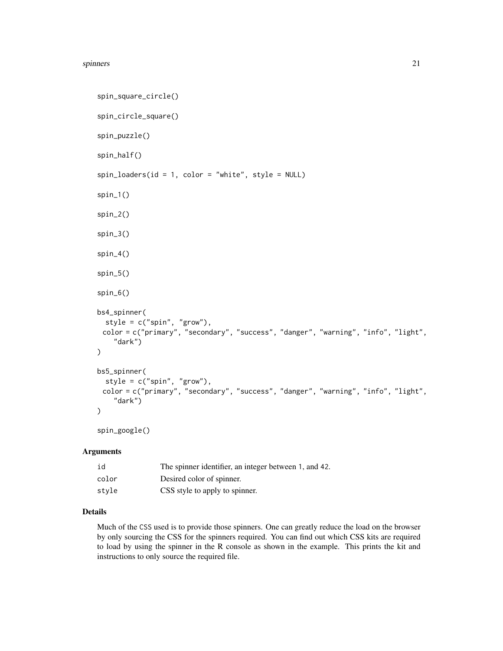#### spinners 21

```
spin_square_circle()
spin_circle_square()
spin_puzzle()
spin_half()
spin\_loads (id = 1, color = "white", style = NULL)
spin_1()
spin_2()
spin_3()
spin_4()
spin_5()
spin_6()
bs4_spinner(
  style = c("spin", "grow"),color = c("primary", "secondary", "success", "danger", "warning", "info", "light",
    "dark")
\mathcal{L}bs5_spinner(
  style = c("spin", "grow"),
 color = c("primary", "secondary", "success", "danger", "warning", "info", "light",
    "dark")
\lambda
```

```
spin_google()
```
# Arguments

| id    | The spinner identifier, an integer between 1, and 42. |
|-------|-------------------------------------------------------|
| color | Desired color of spinner.                             |
| stvle | CSS style to apply to spinner.                        |

#### Details

Much of the CSS used is to provide those spinners. One can greatly reduce the load on the browser by only sourcing the CSS for the spinners required. You can find out which CSS kits are required to load by using the spinner in the R console as shown in the example. This prints the kit and instructions to only source the required file.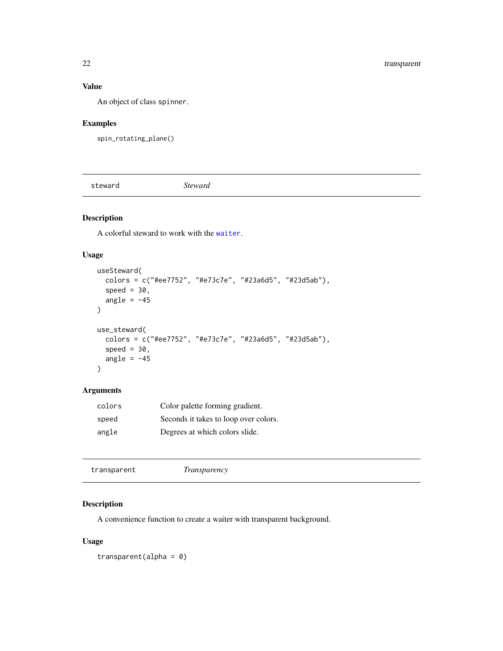# <span id="page-21-0"></span>Value

An object of class spinner.

# Examples

spin\_rotating\_plane()

steward *Steward*

# Description

A colorful steward to work with the [waiter](#page-23-2).

# Usage

```
useSteward(
 colors = c("#ee7752", "#e73c7e", "#23a6d5", "#23d5ab"),
  speed = 30,
 angle = -45\mathcal{L}use_steward(
  colors = c("#ee7752", "#e73c7e", "#23a6d5", "#23d5ab"),
 speed = 30,
 angle = -45\mathcal{L}
```
# Arguments

| colors | Color palette forming gradient.       |
|--------|---------------------------------------|
| speed  | Seconds it takes to loop over colors. |
| angle  | Degrees at which colors slide.        |

transparent *Transparency*

# Description

A convenience function to create a waiter with transparent background.

# Usage

transparent(alpha = 0)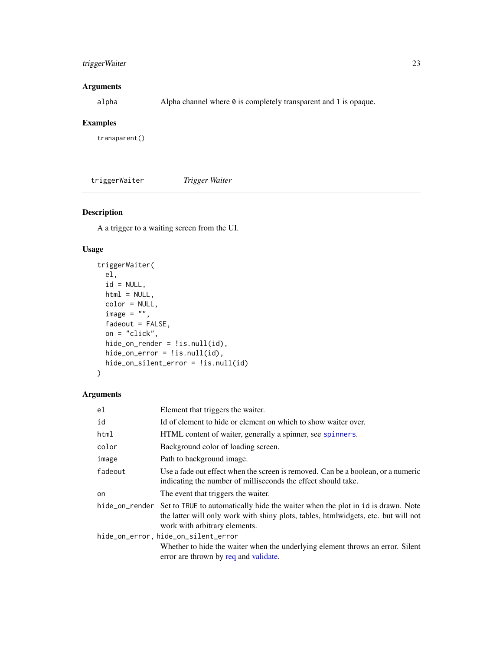# <span id="page-22-0"></span>triggerWaiter 23

# Arguments

alpha Alpha channel where  $\theta$  is completely transparent and 1 is opaque.

# Examples

transparent()

triggerWaiter *Trigger Waiter*

# Description

A a trigger to a waiting screen from the UI.

# Usage

```
triggerWaiter(
 el,
  id = NULL,html = NULL,color = NULL,
  image = ",
  fadeout = FALSE,
 on = "click",
 hide_on_render = !is.null(id),
 hide_on_error = !is.null(id),
 hide_on_silent_error = !is.null(id)
)
```
## Arguments

| el                                  | Element that triggers the waiter.                                                                                                                                                                                     |  |  |  |  |  |
|-------------------------------------|-----------------------------------------------------------------------------------------------------------------------------------------------------------------------------------------------------------------------|--|--|--|--|--|
| id                                  | Id of element to hide or element on which to show waiter over.                                                                                                                                                        |  |  |  |  |  |
| html                                | HTML content of waiter, generally a spinner, see spinners.                                                                                                                                                            |  |  |  |  |  |
| color                               | Background color of loading screen.                                                                                                                                                                                   |  |  |  |  |  |
| image                               | Path to background image.                                                                                                                                                                                             |  |  |  |  |  |
| fadeout                             | Use a fade out effect when the screen is removed. Can be a boolean, or a numeric<br>indicating the number of milliseconds the effect should take.                                                                     |  |  |  |  |  |
| on                                  | The event that triggers the waiter.                                                                                                                                                                                   |  |  |  |  |  |
|                                     | hide_on_render Set to TRUE to automatically hide the waiter when the plot in id is drawn. Note<br>the latter will only work with shiny plots, tables, htmlwidgets, etc. but will not<br>work with arbitrary elements. |  |  |  |  |  |
| hide_on_error, hide_on_silent_error |                                                                                                                                                                                                                       |  |  |  |  |  |
|                                     | Whether to hide the waiter when the underlying element throws an error. Silent<br>error are thrown by req and validate.                                                                                               |  |  |  |  |  |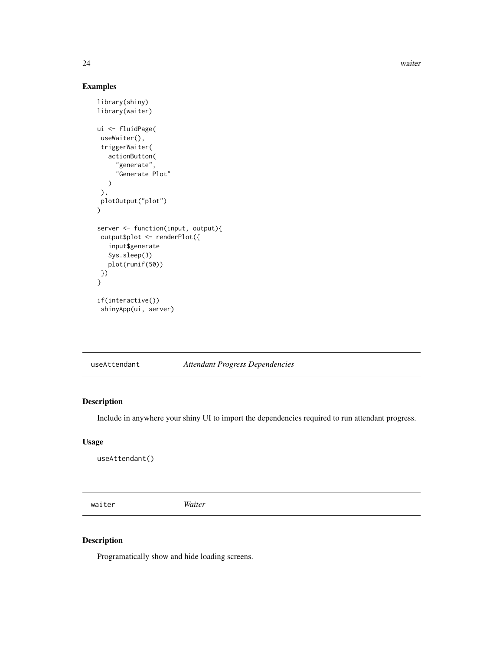24 waiter

# Examples

```
library(shiny)
library(waiter)
ui <- fluidPage(
 useWaiter(),
 triggerWaiter(
   actionButton(
     "generate",
     "Generate Plot"
  )
 ),
plotOutput("plot")
)
server <- function(input, output){
 output$plot <- renderPlot({
  input$generate
  Sys.sleep(3)
  plot(runif(50))
 })
}
if(interactive())
 shinyApp(ui, server)
```
useAttendant *Attendant Progress Dependencies*

# Description

Include in anywhere your shiny UI to import the dependencies required to run attendant progress.

# Usage

useAttendant()

<span id="page-23-2"></span>waiter *Waiter*

# <span id="page-23-1"></span>Description

Programatically show and hide loading screens.

<span id="page-23-0"></span>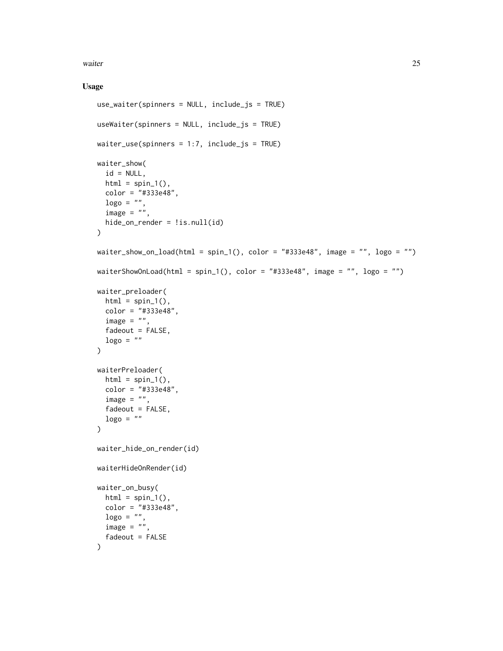waiter 25

#### Usage

```
use_waiter(spinners = NULL, include_js = TRUE)
useWaiter(spinners = NULL, include_js = TRUE)
waiter_use(spinners = 1:7, include_js = TRUE)
waiter_show(
  id = NULL,html = spin_1(),
  color = "#333e48",
  \log o = "".image = "",hide_on_render = !is.null(id)
\mathcal{L}waiter_show_on_load(html = spin_1(), color = "#333e48", image = "", logo = "")waiterShowOnLoad(html = spin_1(), color = "#333e48", image = "", logo = "")
waiter_preloader(
 html = spin_1(),color = "#333e48",
  image = "",fadeout = FALSE,
  \log o = ""\lambdawaiterPreloader(
  html = spin_1(),color = "#333e48",
  image = "",fadeout = FALSE,\log o = "\lambdawaiter_hide_on_render(id)
waiterHideOnRender(id)
waiter_on_busy(
  html = spin_1(),color = "#333e48",
 \log o = "".image = ",
  fadeout = FALSE
\mathcal{L}
```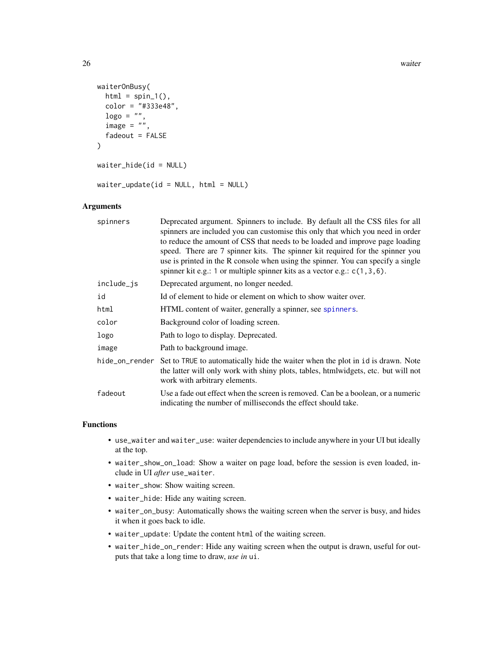```
waiterOnBusy(
 html = spin_1(),
  color = "#333e48",
  \log o = "".image = "",fadeout = FALSE
\lambdawaiter_hide(id = NULL)
waiter_update(id = NULL, html = NULL)
```
# Arguments

| spinners   | Deprecated argument. Spinners to include. By default all the CSS files for all<br>spinners are included you can customise this only that which you need in order<br>to reduce the amount of CSS that needs to be loaded and improve page loading<br>speed. There are 7 spinner kits. The spinner kit required for the spinner you<br>use is printed in the R console when using the spinner. You can specify a single<br>spinner kit e.g.: 1 or multiple spinner kits as a vector e.g.: $c(1,3,6)$ . |
|------------|------------------------------------------------------------------------------------------------------------------------------------------------------------------------------------------------------------------------------------------------------------------------------------------------------------------------------------------------------------------------------------------------------------------------------------------------------------------------------------------------------|
| include_js | Deprecated argument, no longer needed.                                                                                                                                                                                                                                                                                                                                                                                                                                                               |
| id         | Id of element to hide or element on which to show waiter over.                                                                                                                                                                                                                                                                                                                                                                                                                                       |
| html       | HTML content of waiter, generally a spinner, see spinners.                                                                                                                                                                                                                                                                                                                                                                                                                                           |
| color      | Background color of loading screen.                                                                                                                                                                                                                                                                                                                                                                                                                                                                  |
| logo       | Path to logo to display. Deprecated.                                                                                                                                                                                                                                                                                                                                                                                                                                                                 |
| image      | Path to background image.                                                                                                                                                                                                                                                                                                                                                                                                                                                                            |
|            | hide_on_render Set to TRUE to automatically hide the waiter when the plot in id is drawn. Note<br>the latter will only work with shiny plots, tables, htmlwidgets, etc. but will not<br>work with arbitrary elements.                                                                                                                                                                                                                                                                                |
| fadeout    | Use a fade out effect when the screen is removed. Can be a boolean, or a numeric<br>indicating the number of milliseconds the effect should take.                                                                                                                                                                                                                                                                                                                                                    |

### Functions

- use\_waiter and waiter\_use: waiter dependencies to include anywhere in your UI but ideally at the top.
- waiter\_show\_on\_load: Show a waiter on page load, before the session is even loaded, include in UI *after* use\_waiter.
- waiter\_show: Show waiting screen.
- waiter\_hide: Hide any waiting screen.
- waiter\_on\_busy: Automatically shows the waiting screen when the server is busy, and hides it when it goes back to idle.
- waiter\_update: Update the content html of the waiting screen.
- waiter\_hide\_on\_render: Hide any waiting screen when the output is drawn, useful for outputs that take a long time to draw, *use in* ui.

<span id="page-25-0"></span>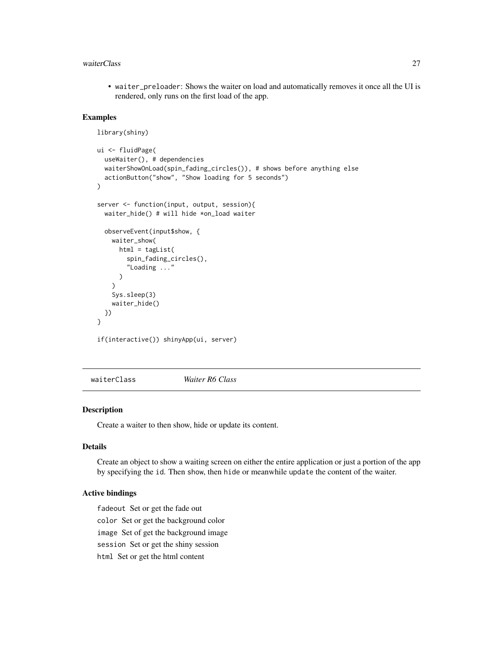#### <span id="page-26-0"></span>waiterClass 27

• waiter\_preloader: Shows the waiter on load and automatically removes it once all the UI is rendered, only runs on the first load of the app.

# Examples

```
library(shiny)
ui <- fluidPage(
  useWaiter(), # dependencies
  waiterShowOnLoad(spin_fading_circles()), # shows before anything else
  actionButton("show", "Show loading for 5 seconds")
\mathcal{L}server <- function(input, output, session){
  waiter_hide() # will hide *on_load waiter
  observeEvent(input$show, {
    waiter_show(
     html = tagList(spin_fading_circles(),
        "Loading ..."
      \lambda)
    Sys.sleep(3)
    waiter_hide()
  })
}
if(interactive()) shinyApp(ui, server)
```
waiterClass *Waiter R6 Class*

#### Description

Create a waiter to then show, hide or update its content.

#### Details

Create an object to show a waiting screen on either the entire application or just a portion of the app by specifying the id. Then show, then hide or meanwhile update the content of the waiter.

# Active bindings

fadeout Set or get the fade out

color Set or get the background color

image Set of get the background image

session Set or get the shiny session

html Set or get the html content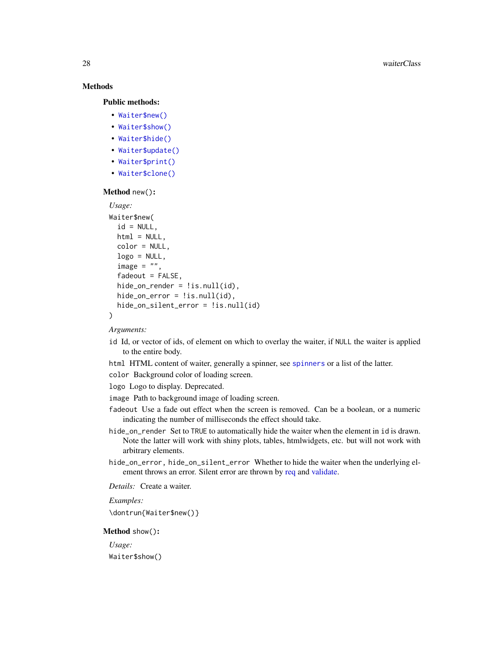# **Methods**

#### Public methods:

- [Waiter\\$new\(\)](#page-1-1)
- [Waiter\\$show\(\)](#page-27-0)
- [Waiter\\$hide\(\)](#page-28-1)
- [Waiter\\$update\(\)](#page-28-2)
- [Waiter\\$print\(\)](#page-8-0)
- [Waiter\\$clone\(\)](#page-3-5)

#### Method new():

```
Usage:
Waiter$new(
  id = NULL,html = NULL.
  color = NULL,
  logo = NULL,
  image = ",
  fadeout = FALSE,
  hide_on_render = lis.null(id),
 hide_on_error = !is.null(id),
 hide_on_silent_error = !is.null(id)
)
```
#### *Arguments:*

- id Id, or vector of ids, of element on which to overlay the waiter, if NULL the waiter is applied to the entire body.
- html HTML content of waiter, generally a spinner, see [spinners](#page-17-1) or a list of the latter.
- color Background color of loading screen.
- logo Logo to display. Deprecated.
- image Path to background image of loading screen.
- fadeout Use a fade out effect when the screen is removed. Can be a boolean, or a numeric indicating the number of milliseconds the effect should take.
- hide\_on\_render Set to TRUE to automatically hide the waiter when the element in id is drawn. Note the latter will work with shiny plots, tables, htmlwidgets, etc. but will not work with arbitrary elements.
- hide\_on\_error, hide\_on\_silent\_error Whether to hide the waiter when the underlying element throws an error. Silent error are thrown by [req](#page-0-0) and [validate.](#page-0-0)

*Details:* Create a waiter.

*Examples:*

\dontrun{Waiter\$new()}

#### <span id="page-27-0"></span>Method show():

*Usage:* Waiter\$show()

<span id="page-27-1"></span>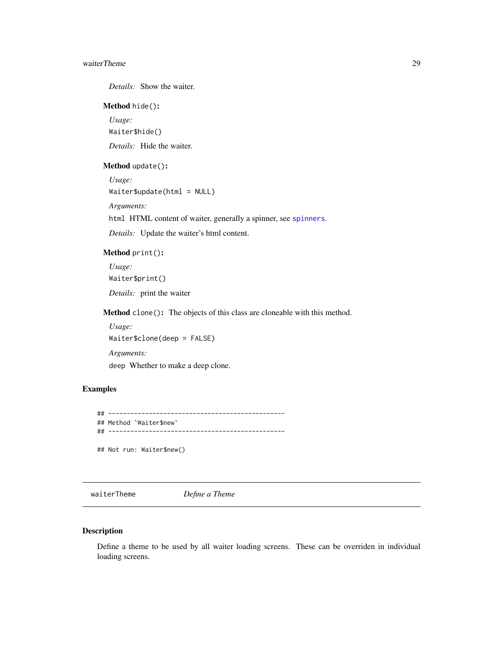#### <span id="page-28-0"></span>waiterTheme 29

*Details:* Show the waiter.

#### <span id="page-28-1"></span>Method hide():

*Usage:* Waiter\$hide() *Details:* Hide the waiter.

#### <span id="page-28-2"></span>Method update():

*Usage:* Waiter\$update(html = NULL) *Arguments:* html HTML content of waiter, generally a spinner, see [spinners](#page-17-1). *Details:* Update the waiter's html content.

# Method print():

*Usage:* Waiter\$print() *Details:* print the waiter

Method clone(): The objects of this class are cloneable with this method.

*Usage:* Waiter\$clone(deep = FALSE)

*Arguments:* deep Whether to make a deep clone.

# Examples

```
## ------------------------------------------------
## Method `Waiter$new`
## ------------------------------------------------
## Not run: Waiter$new()
```
waiterTheme *Define a Theme*

#### Description

Define a theme to be used by all waiter loading screens. These can be overriden in individual loading screens.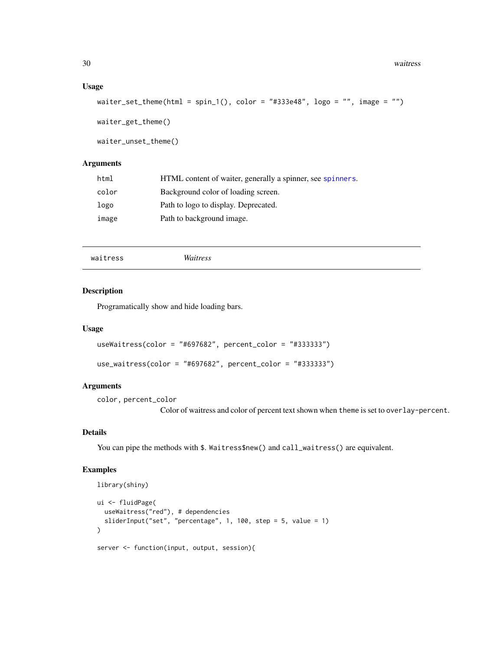#### <span id="page-29-0"></span>Usage

```
waiter_set_theme(html = spin_1(), color = "#333e48", logo = "", image = "")
```
waiter\_get\_theme()

waiter\_unset\_theme()

# Arguments

| html  | HTML content of waiter, generally a spinner, see spinners. |
|-------|------------------------------------------------------------|
| color | Background color of loading screen.                        |
| logo  | Path to logo to display. Deprecated.                       |
| image | Path to background image.                                  |

```
waitress Waitress
```
#### Description

Programatically show and hide loading bars.

#### Usage

```
useWaitress(color = "#697682", percent_color = "#333333")
```

```
use_waitress(color = "#697682", percent_color = "#333333")
```
# Arguments

color, percent\_color

Color of waitress and color of percent text shown when theme is set to overlay-percent.

#### Details

You can pipe the methods with \$. Waitress\$new() and call\_waitress() are equivalent.

# Examples

```
library(shiny)
ui <- fluidPage(
  useWaitress("red"), # dependencies
  sliderInput("set", "percentage", 1, 100, step = 5, value = 1)
\lambdaserver <- function(input, output, session){
```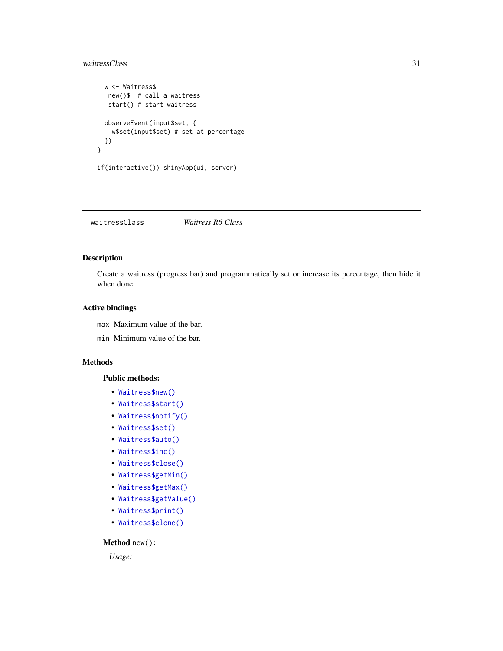```
w <- Waitress$
  new()$ # call a waitress
  start() # start waitress
 observeEvent(input$set, {
   w$set(input$set) # set at percentage
 })
}
if(interactive()) shinyApp(ui, server)
```
waitressClass *Waitress R6 Class*

# Description

Create a waitress (progress bar) and programmatically set or increase its percentage, then hide it when done.

## Active bindings

max Maximum value of the bar.

min Minimum value of the bar.

#### Methods

#### Public methods:

- [Waitress\\$new\(\)](#page-1-1)
- [Waitress\\$start\(\)](#page-10-0)
- [Waitress\\$notify\(\)](#page-12-0)
- [Waitress\\$set\(\)](#page-2-2)
- [Waitress\\$auto\(\)](#page-3-1)
- [Waitress\\$inc\(\)](#page-2-0)
- [Waitress\\$close\(\)](#page-3-0)
- [Waitress\\$getMin\(\)](#page-3-2)
- [Waitress\\$getMax\(\)](#page-3-3)
- [Waitress\\$getValue\(\)](#page-3-4)
- [Waitress\\$print\(\)](#page-8-0)
- [Waitress\\$clone\(\)](#page-3-5)

# Method new():

*Usage:*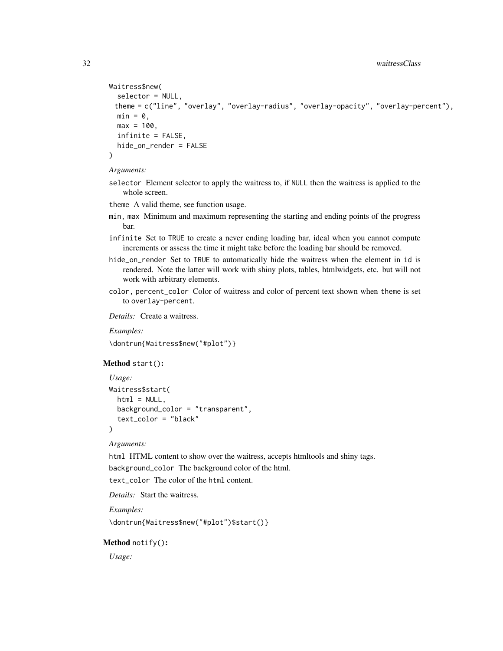```
Waitress$new(
  selector = NULL,
 theme = c("line", "overlay", "overlay-radius", "overlay-opacity", "overlay-percent"),
 min = 0.
 max = 100,
  infinite = FALSE,
 hide_on_render = FALSE
)
```
*Arguments:*

selector Element selector to apply the waitress to, if NULL then the waitress is applied to the whole screen.

theme A valid theme, see function usage.

- min, max Minimum and maximum representing the starting and ending points of the progress bar.
- infinite Set to TRUE to create a never ending loading bar, ideal when you cannot compute increments or assess the time it might take before the loading bar should be removed.
- hide\_on\_render Set to TRUE to automatically hide the waitress when the element in id is rendered. Note the latter will work with shiny plots, tables, htmlwidgets, etc. but will not work with arbitrary elements.
- color, percent\_color Color of waitress and color of percent text shown when theme is set to overlay-percent.

*Details:* Create a waitress.

*Examples:*

\dontrun{Waitress\$new("#plot")}

Method start():

```
Usage:
Waitress$start(
 html = NULL.
 background_color = "transparent",
  text_color = "black"
\lambda
```
# *Arguments:*

html HTML content to show over the waitress, accepts htmltools and shiny tags.

background\_color The background color of the html.

text color The color of the html content.

*Details:* Start the waitress.

*Examples:*

\dontrun{Waitress\$new("#plot")\$start()}

#### Method notify():

*Usage:*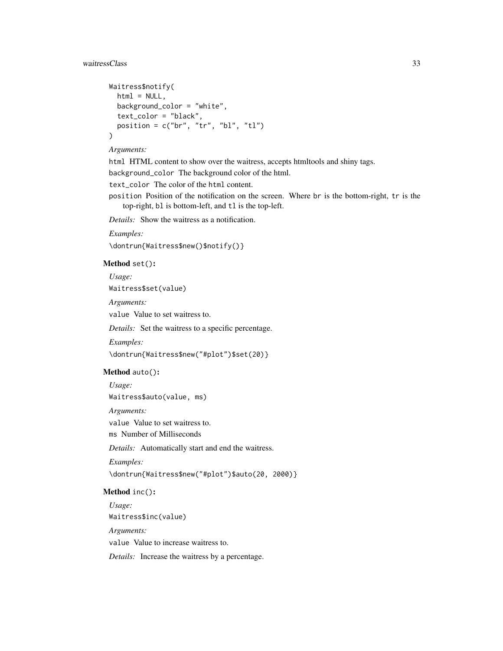```
Waitress$notify(
 html = NULL,background_color = "white",
 text_color = "black",
 position = c("br", "tr", "bl", "tl")\mathcal{L}
```
#### *Arguments:*

html HTML content to show over the waitress, accepts htmltools and shiny tags.

background\_color The background color of the html.

text\_color The color of the html content.

position Position of the notification on the screen. Where br is the bottom-right, tr is the top-right, bl is bottom-left, and tl is the top-left.

*Details:* Show the waitress as a notification.

*Examples:*

\dontrun{Waitress\$new()\$notify()}

# Method set():

*Usage:*

Waitress\$set(value)

*Arguments:*

value Value to set waitress to.

*Details:* Set the waitress to a specific percentage.

*Examples:*

\dontrun{Waitress\$new("#plot")\$set(20)}

#### Method auto():

*Usage:* Waitress\$auto(value, ms) *Arguments:* value Value to set waitress to. ms Number of Milliseconds *Details:* Automatically start and end the waitress. *Examples:* \dontrun{Waitress\$new("#plot")\$auto(20, 2000)}

#### Method inc():

*Usage:* Waitress\$inc(value) *Arguments:* value Value to increase waitress to. *Details:* Increase the waitress by a percentage.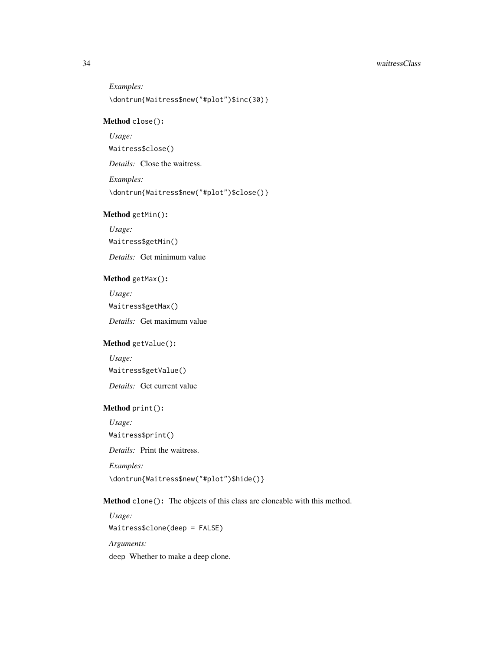*Examples:* \dontrun{Waitress\$new("#plot")\$inc(30)}

# Method close():

*Usage:*

Waitress\$close()

*Details:* Close the waitress.

*Examples:*

\dontrun{Waitress\$new("#plot")\$close()}

# Method getMin():

*Usage:*

Waitress\$getMin()

*Details:* Get minimum value

#### Method getMax():

*Usage:*

Waitress\$getMax()

*Details:* Get maximum value

# Method getValue():

*Usage:*

Waitress\$getValue()

*Details:* Get current value

#### Method print():

*Usage:* Waitress\$print() *Details:* Print the waitress. *Examples:* \dontrun{Waitress\$new("#plot")\$hide()}

# Method clone(): The objects of this class are cloneable with this method.

*Usage:* Waitress\$clone(deep = FALSE) *Arguments:* deep Whether to make a deep clone.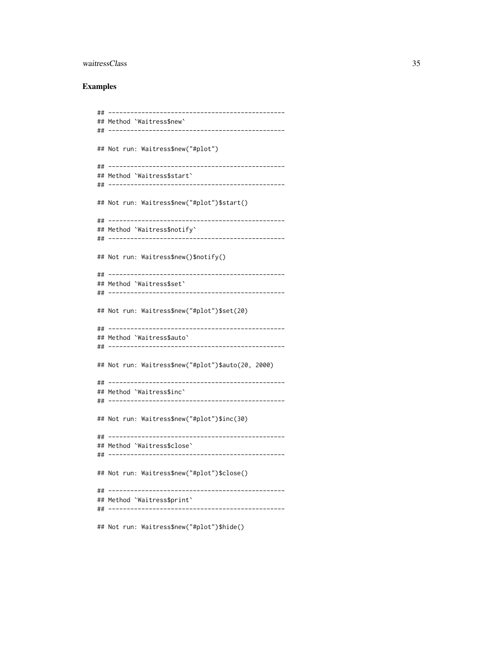#### **Examples**

## Method `Waitress\$new` ## Not run: Waitress\$new("#plot") ## Method `Waitress\$start` ## Not run: Waitress\$new("#plot")\$start() ## Method `Waitress\$notify` ## Not run: Waitress\$new()\$notify() ## Method `Waitress\$set` ## Not run: Waitress\$new("#plot")\$set(20) ## Method 'Waitress\$auto' ## Not run: Waitress\$new("#plot")\$auto(20, 2000) ## Method `Waitress\$inc` ## Not run: Waitress\$new("#plot")\$inc(30) ## Method `Waitress\$close` ## Not run: Waitress\$new("#plot")\$close() ## Method `Waitress\$print` 

## Not run: Waitress\$new("#plot")\$hide()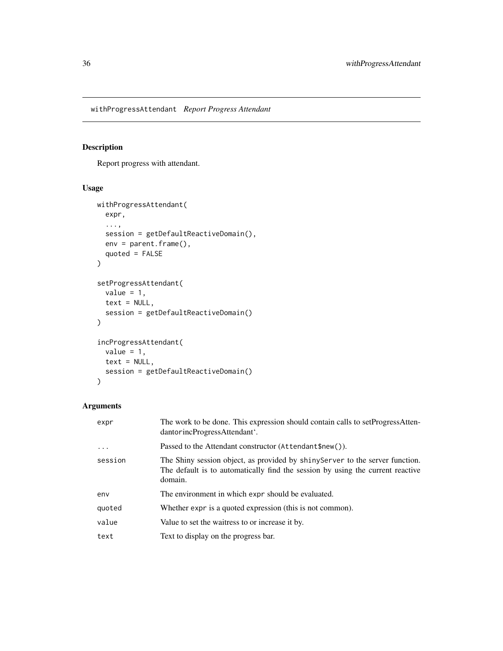<span id="page-35-0"></span>withProgressAttendant *Report Progress Attendant*

# Description

Report progress with attendant.

# Usage

```
withProgressAttendant(
  expr,
  ...,
  session = getDefaultReactiveDomain(),
  env = parent.frame(),
  quoted = FALSE\mathcal{L}setProgressAttendant(
  value = 1,
  text = NULL,session = getDefaultReactiveDomain()
\mathcal{L}incProgressAttendant(
  value = 1,
  text = NULL,session = getDefaultReactiveDomain()
\mathcal{L}
```
# Arguments

| expr       | The work to be done. This expression should contain calls to setProgressAtten-<br>dantorincProgressAttendant'.                                                             |
|------------|----------------------------------------------------------------------------------------------------------------------------------------------------------------------------|
| $\ddots$ . | Passed to the Attendant constructor (Attendant \$new()).                                                                                                                   |
| session    | The Shiny session object, as provided by shiny Server to the server function.<br>The default is to automatically find the session by using the current reactive<br>domain. |
| env        | The environment in which expr should be evaluated.                                                                                                                         |
| quoted     | Whether expr is a quoted expression (this is not common).                                                                                                                  |
| value      | Value to set the waitress to or increase it by.                                                                                                                            |
| text       | Text to display on the progress bar.                                                                                                                                       |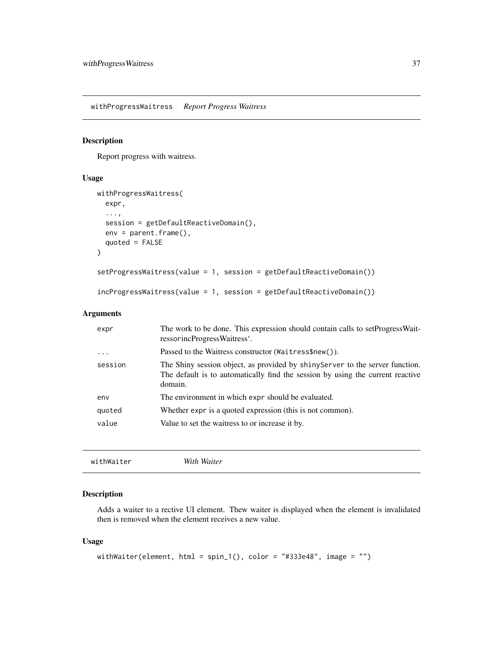<span id="page-36-0"></span>withProgressWaitress *Report Progress Waitress*

# Description

Report progress with waitress.

#### Usage

```
withProgressWaitress(
  expr,
  ...,
 session = getDefaultReactiveDomain(),
 env = parent.frame(),
  quoted = FALSE)
setProgressWaitress(value = 1, session = getDefaultReactiveDomain())
incProgressWaitress(value = 1, session = getDefaultReactiveDomain())
```
# Arguments

| expr     | The work to be done. This expression should contain calls to setProgressWait-<br>ressorincProgressWaitress'.                                                               |
|----------|----------------------------------------------------------------------------------------------------------------------------------------------------------------------------|
| $\cdots$ | Passed to the Waitress constructor (Waitress\$new()).                                                                                                                      |
| session  | The Shiny session object, as provided by shiny Server to the server function.<br>The default is to automatically find the session by using the current reactive<br>domain. |
| env      | The environment in which expr should be evaluated.                                                                                                                         |
| quoted   | Whether expr is a quoted expression (this is not common).                                                                                                                  |
| value    | Value to set the waitress to or increase it by.                                                                                                                            |

```
withWaiter With Waiter
```
# Description

Adds a waiter to a rective UI element. Thew waiter is displayed when the element is invalidated then is removed when the element receives a new value.

#### Usage

```
withWaiter(element, html = spin_1(), color = "#333e48", image = "")
```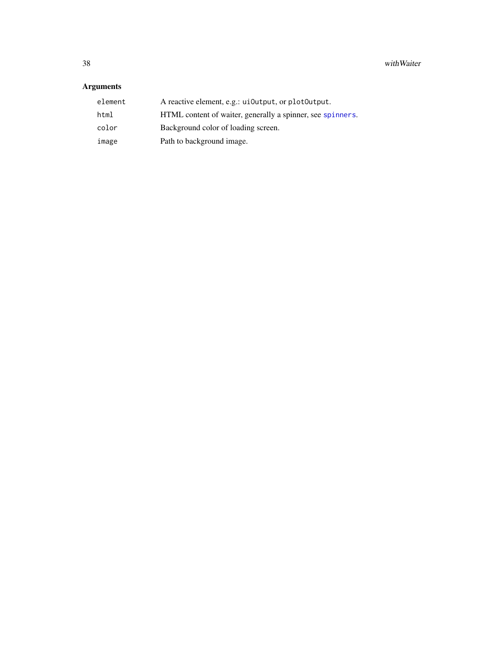# <span id="page-37-0"></span>Arguments

| element | A reactive element, e.g.: ui0utput, or plot0utput.         |
|---------|------------------------------------------------------------|
| html    | HTML content of waiter, generally a spinner, see spinners. |
| color   | Background color of loading screen.                        |
| image   | Path to background image.                                  |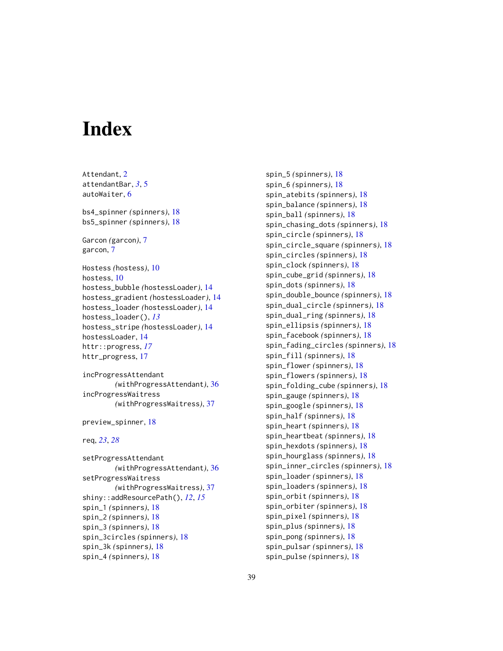# <span id="page-38-0"></span>**Index**

Attendant, [2](#page-1-0) attendantBar, *[3](#page-2-4)*, [5](#page-4-0) autoWaiter, [6](#page-5-0) bs4\_spinner *(*spinners*)*, [18](#page-17-0) bs5\_spinner *(*spinners*)*, [18](#page-17-0) Garcon *(*garcon*)*, [7](#page-6-0) garcon, [7](#page-6-0) Hostess *(*hostess*)*, [10](#page-9-0) hostess, [10](#page-9-0) hostess\_bubble *(*hostessLoader*)*, [14](#page-13-0) hostess\_gradient *(*hostessLoader*)*, [14](#page-13-0) hostess\_loader *(*hostessLoader*)*, [14](#page-13-0) hostess\_loader(), *[13](#page-12-1)* hostess\_stripe *(*hostessLoader*)*, [14](#page-13-0) hostessLoader, [14](#page-13-0) httr::progress, *[17](#page-16-0)* httr\_progress, [17](#page-16-0)

```
incProgressAttendant
        (withProgressAttendant), 36
incProgressWaitress
        (withProgressWaitress), 37
```
preview\_spinner, [18](#page-17-0)

```
req, 23, 28
```
setProgressAttendant *(*withProgressAttendant*)*, [36](#page-35-0) setProgressWaitress *(*withProgressWaitress*)*, [37](#page-36-0) shiny::addResourcePath(), *[12](#page-11-2)*, *[15](#page-14-0)* spin\_1 *(*spinners*)*, [18](#page-17-0) spin\_2 *(*spinners*)*, [18](#page-17-0) spin\_3 *(*spinners*)*, [18](#page-17-0) spin\_3circles *(*spinners*)*, [18](#page-17-0) spin\_3k *(*spinners*)*, [18](#page-17-0) spin\_4 *(*spinners*)*, [18](#page-17-0)

spin\_5 *(*spinners*)*, [18](#page-17-0) spin\_6 *(*spinners*)*, [18](#page-17-0) spin\_atebits *(*spinners*)*, [18](#page-17-0) spin\_balance *(*spinners*)*, [18](#page-17-0) spin\_ball *(*spinners*)*, [18](#page-17-0) spin\_chasing\_dots *(*spinners*)*, [18](#page-17-0) spin\_circle *(*spinners*)*, [18](#page-17-0) spin\_circle\_square *(*spinners*)*, [18](#page-17-0) spin\_circles *(*spinners*)*, [18](#page-17-0) spin\_clock *(*spinners*)*, [18](#page-17-0) spin\_cube\_grid *(*spinners*)*, [18](#page-17-0) spin\_dots *(*spinners*)*, [18](#page-17-0) spin\_double\_bounce *(*spinners*)*, [18](#page-17-0) spin\_dual\_circle *(*spinners*)*, [18](#page-17-0) spin\_dual\_ring *(*spinners*)*, [18](#page-17-0) spin\_ellipsis *(*spinners*)*, [18](#page-17-0) spin\_facebook *(*spinners*)*, [18](#page-17-0) spin\_fading\_circles *(*spinners*)*, [18](#page-17-0) spin\_fill *(*spinners*)*, [18](#page-17-0) spin\_flower *(*spinners*)*, [18](#page-17-0) spin\_flowers *(*spinners*)*, [18](#page-17-0) spin\_folding\_cube *(*spinners*)*, [18](#page-17-0) spin\_gauge *(*spinners*)*, [18](#page-17-0) spin\_google *(*spinners*)*, [18](#page-17-0) spin\_half *(*spinners*)*, [18](#page-17-0) spin\_heart *(*spinners*)*, [18](#page-17-0) spin\_heartbeat *(*spinners*)*, [18](#page-17-0) spin\_hexdots *(*spinners*)*, [18](#page-17-0) spin\_hourglass *(*spinners*)*, [18](#page-17-0) spin\_inner\_circles *(*spinners*)*, [18](#page-17-0) spin\_loader *(*spinners*)*, [18](#page-17-0) spin\_loaders *(*spinners*)*, [18](#page-17-0) spin\_orbit *(*spinners*)*, [18](#page-17-0) spin\_orbiter *(*spinners*)*, [18](#page-17-0) spin\_pixel *(*spinners*)*, [18](#page-17-0) spin\_plus *(*spinners*)*, [18](#page-17-0) spin\_pong *(*spinners*)*, [18](#page-17-0) spin\_pulsar *(*spinners*)*, [18](#page-17-0) spin\_pulse *(*spinners*)*, [18](#page-17-0)